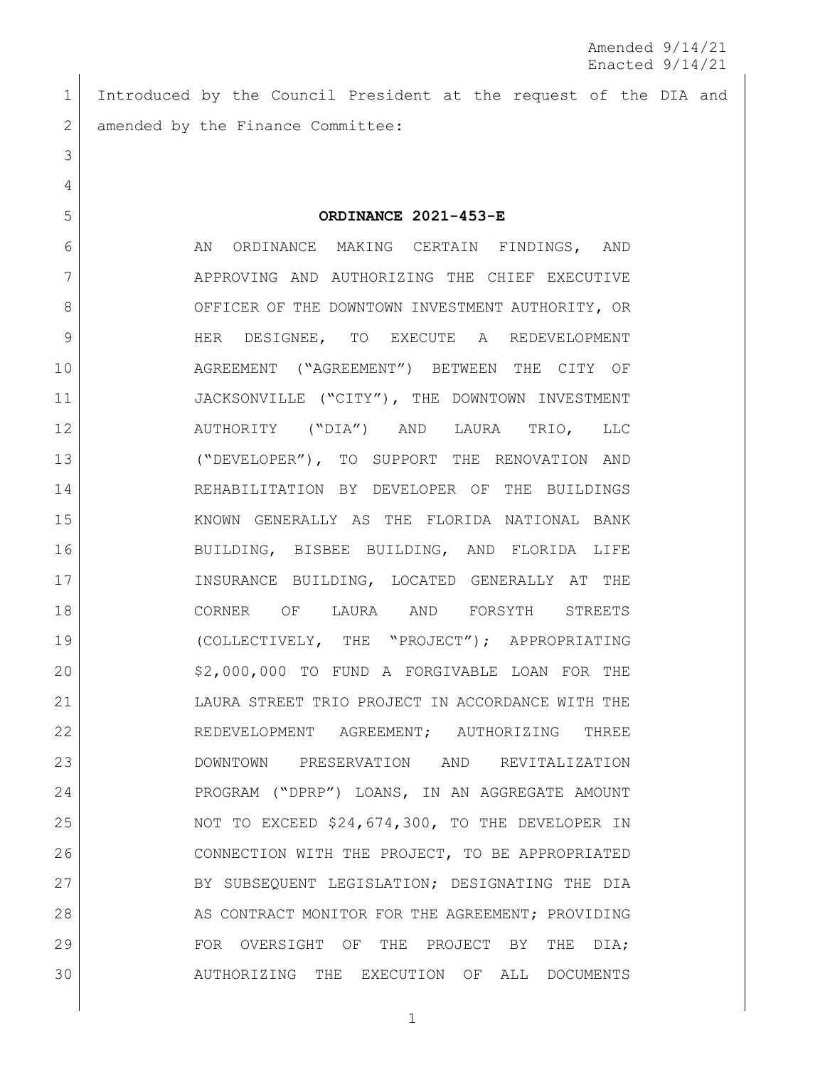Introduced by the Council President at the request of the DIA and 2 amended by the Finance Committee:

**ORDINANCE 2021-453-E**

6 6 AN ORDINANCE MAKING CERTAIN FINDINGS, AND APPROVING AND AUTHORIZING THE CHIEF EXECUTIVE 8 OFFICER OF THE DOWNTOWN INVESTMENT AUTHORITY, OR HER DESIGNEE, TO EXECUTE A REDEVELOPMENT AGREEMENT ("AGREEMENT") BETWEEN THE CITY OF 11 JACKSONVILLE ("CITY"), THE DOWNTOWN INVESTMENT AUTHORITY ("DIA") AND LAURA TRIO, LLC ("DEVELOPER"), TO SUPPORT THE RENOVATION AND REHABILITATION BY DEVELOPER OF THE BUILDINGS KNOWN GENERALLY AS THE FLORIDA NATIONAL BANK BUILDING, BISBEE BUILDING, AND FLORIDA LIFE INSURANCE BUILDING, LOCATED GENERALLY AT THE CORNER OF LAURA AND FORSYTH STREETS (COLLECTIVELY, THE "PROJECT"); APPROPRIATING \$2,000,000 TO FUND A FORGIVABLE LOAN FOR THE LAURA STREET TRIO PROJECT IN ACCORDANCE WITH THE 22 REDEVELOPMENT AGREEMENT; AUTHORIZING THREE DOWNTOWN PRESERVATION AND REVITALIZATION 24 PROGRAM ("DPRP") LOANS, IN AN AGGREGATE AMOUNT 25 NOT TO EXCEED \$24,674,300, TO THE DEVELOPER IN CONNECTION WITH THE PROJECT, TO BE APPROPRIATED 27 BY SUBSEQUENT LEGISLATION; DESIGNATING THE DIA 28 AS CONTRACT MONITOR FOR THE AGREEMENT; PROVIDING 29 FOR OVERSIGHT OF THE PROJECT BY THE DIA; AUTHORIZING THE EXECUTION OF ALL DOCUMENTS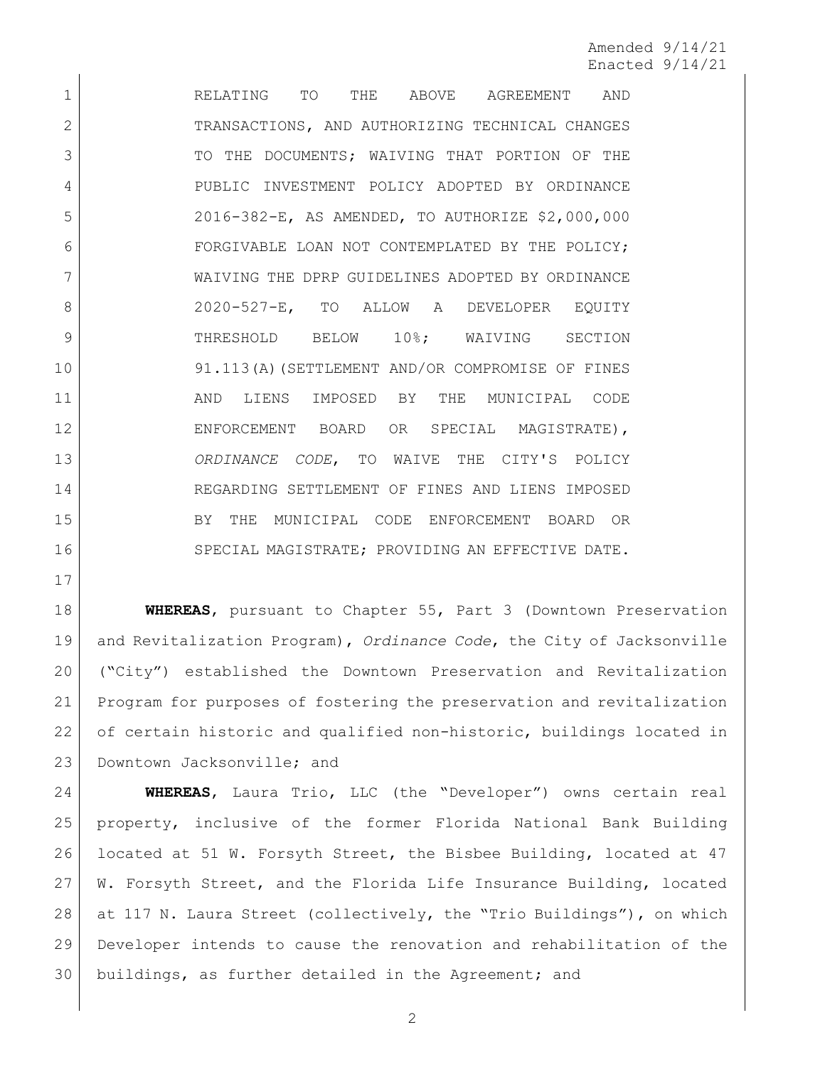RELATING TO THE ABOVE AGREEMENT AND 2 TRANSACTIONS, AND AUTHORIZING TECHNICAL CHANGES 3 TO THE DOCUMENTS; WAIVING THAT PORTION OF THE PUBLIC INVESTMENT POLICY ADOPTED BY ORDINANCE 2016-382-E, AS AMENDED, TO AUTHORIZE \$2,000,000 FORGIVABLE LOAN NOT CONTEMPLATED BY THE POLICY; WAIVING THE DPRP GUIDELINES ADOPTED BY ORDINANCE 8 2020-527-E, TO ALLOW A DEVELOPER EQUITY 9 THRESHOLD BELOW 10%; WAIVING SECTION 91.113(A)(SETTLEMENT AND/OR COMPROMISE OF FINES AND LIENS IMPOSED BY THE MUNICIPAL CODE 12 ENFORCEMENT BOARD OR SPECIAL MAGISTRATE), *ORDINANCE CODE*, TO WAIVE THE CITY'S POLICY REGARDING SETTLEMENT OF FINES AND LIENS IMPOSED BY THE MUNICIPAL CODE ENFORCEMENT BOARD OR 16 SPECIAL MAGISTRATE; PROVIDING AN EFFECTIVE DATE.

 **WHEREAS**, pursuant to Chapter 55, Part 3 (Downtown Preservation and Revitalization Program), *Ordinance Code*, the City of Jacksonville ("City") established the Downtown Preservation and Revitalization Program for purposes of fostering the preservation and revitalization 22 of certain historic and qualified non-historic, buildings located in 23 Downtown Jacksonville; and

 **WHEREAS**, Laura Trio, LLC (the "Developer") owns certain real property, inclusive of the former Florida National Bank Building located at 51 W. Forsyth Street, the Bisbee Building, located at 47 W. Forsyth Street, and the Florida Life Insurance Building, located at 117 N. Laura Street (collectively, the "Trio Buildings"), on which Developer intends to cause the renovation and rehabilitation of the buildings, as further detailed in the Agreement; and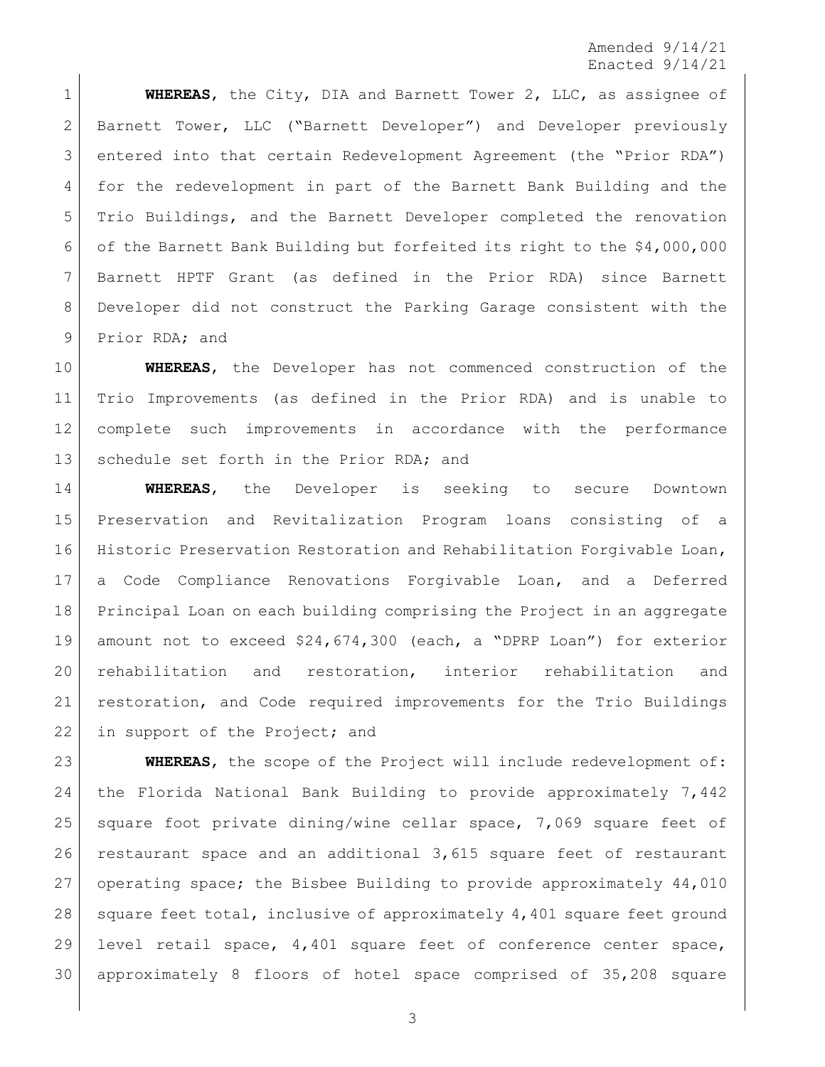**WHEREAS**, the City, DIA and Barnett Tower 2, LLC, as assignee of Barnett Tower, LLC ("Barnett Developer") and Developer previously entered into that certain Redevelopment Agreement (the "Prior RDA") for the redevelopment in part of the Barnett Bank Building and the Trio Buildings, and the Barnett Developer completed the renovation of the Barnett Bank Building but forfeited its right to the \$4,000,000 Barnett HPTF Grant (as defined in the Prior RDA) since Barnett Developer did not construct the Parking Garage consistent with the 9 Prior RDA; and

 **WHEREAS**, the Developer has not commenced construction of the Trio Improvements (as defined in the Prior RDA) and is unable to complete such improvements in accordance with the performance 13 schedule set forth in the Prior RDA; and

 **WHEREAS**, the Developer is seeking to secure Downtown Preservation and Revitalization Program loans consisting of a Historic Preservation Restoration and Rehabilitation Forgivable Loan, a Code Compliance Renovations Forgivable Loan, and a Deferred Principal Loan on each building comprising the Project in an aggregate amount not to exceed \$24,674,300 (each, a "DPRP Loan") for exterior rehabilitation and restoration, interior rehabilitation and restoration, and Code required improvements for the Trio Buildings 22 in support of the Project; and

 **WHEREAS**, the scope of the Project will include redevelopment of: the Florida National Bank Building to provide approximately 7,442 25 square foot private dining/wine cellar space, 7,069 square feet of restaurant space and an additional 3,615 square feet of restaurant operating space; the Bisbee Building to provide approximately 44,010 28 square feet total, inclusive of approximately  $4,401$  square feet ground level retail space, 4,401 square feet of conference center space, approximately 8 floors of hotel space comprised of 35,208 square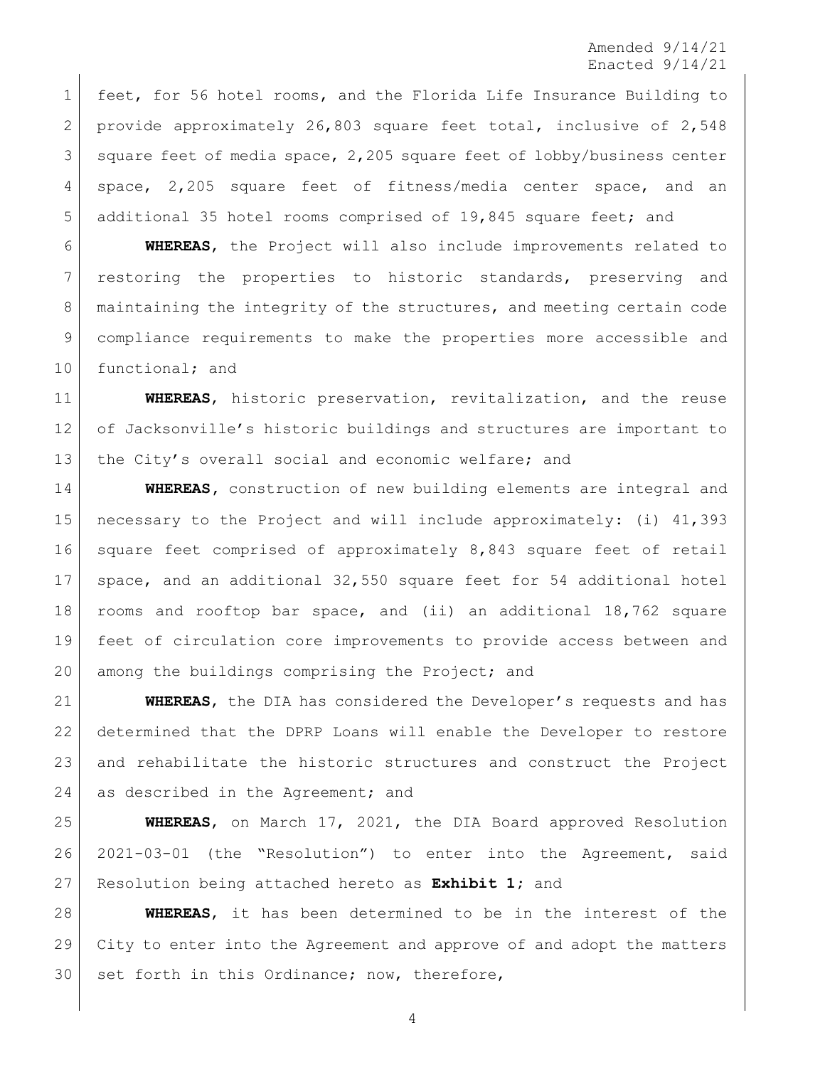feet, for 56 hotel rooms, and the Florida Life Insurance Building to 2 provide approximately 26,803 square feet total, inclusive of 2,548 3 square feet of media space, 2,205 square feet of lobby/business center space, 2,205 square feet of fitness/media center space, and an 5 additional 35 hotel rooms comprised of 19,845 square feet; and

 **WHEREAS**, the Project will also include improvements related to 7 restoring the properties to historic standards, preserving and maintaining the integrity of the structures, and meeting certain code compliance requirements to make the properties more accessible and 10 functional; and

 **WHEREAS**, historic preservation, revitalization, and the reuse of Jacksonville's historic buildings and structures are important to the City's overall social and economic welfare; and

 **WHEREAS,** construction of new building elements are integral and necessary to the Project and will include approximately: (i) 41,393 square feet comprised of approximately 8,843 square feet of retail space, and an additional 32,550 square feet for 54 additional hotel rooms and rooftop bar space, and (ii) an additional 18,762 square feet of circulation core improvements to provide access between and 20 among the buildings comprising the Project; and

 **WHEREAS**, the DIA has considered the Developer's requests and has determined that the DPRP Loans will enable the Developer to restore and rehabilitate the historic structures and construct the Project 24 as described in the Agreement; and

 **WHEREAS**, on March 17, 2021, the DIA Board approved Resolution 2021-03-01 (the "Resolution") to enter into the Agreement, said Resolution being attached hereto as **Exhibit 1;** and

 **WHEREAS**, it has been determined to be in the interest of the City to enter into the Agreement and approve of and adopt the matters set forth in this Ordinance; now, therefore,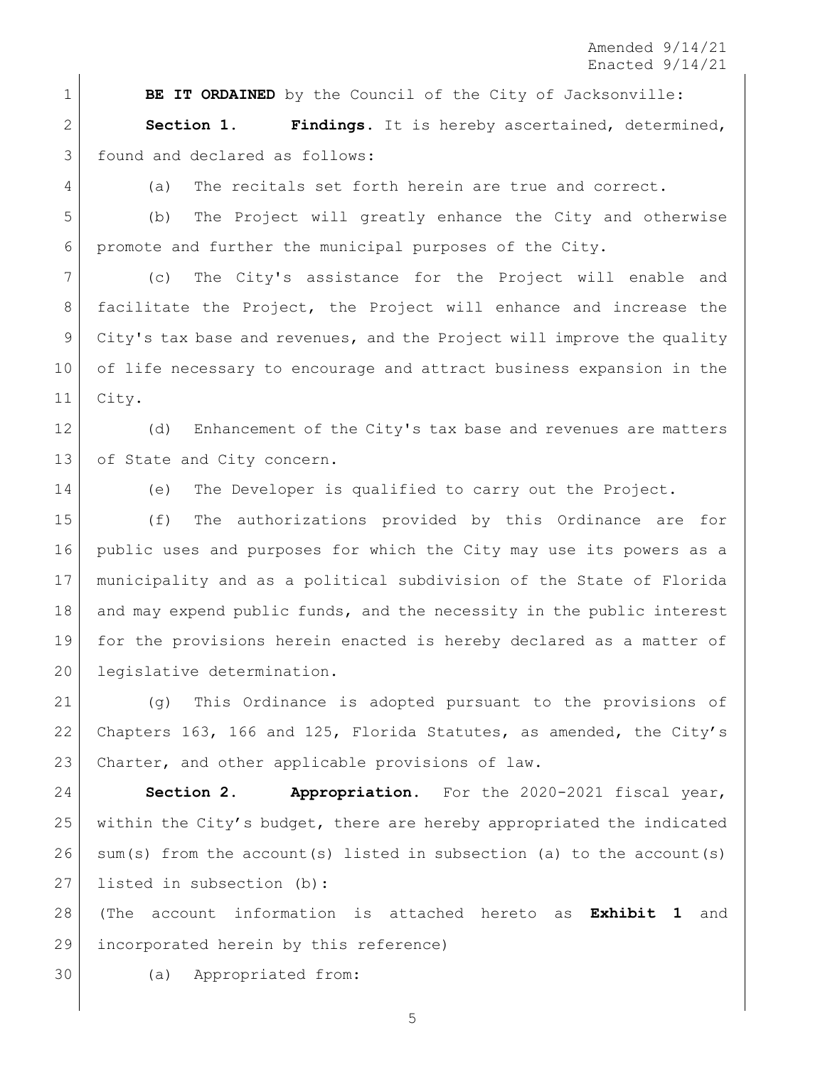**BE IT ORDAINED** by the Council of the City of Jacksonville:

 **Section 1. Findings.** It is hereby ascertained, determined, 3 found and declared as follows:

(a) The recitals set forth herein are true and correct.

 (b) The Project will greatly enhance the City and otherwise promote and further the municipal purposes of the City.

 (c) The City's assistance for the Project will enable and facilitate the Project, the Project will enhance and increase the City's tax base and revenues, and the Project will improve the quality of life necessary to encourage and attract business expansion in the City.

12 (d) Enhancement of the City's tax base and revenues are matters 13 of State and City concern.

(e) The Developer is qualified to carry out the Project.

 (f) The authorizations provided by this Ordinance are for public uses and purposes for which the City may use its powers as a municipality and as a political subdivision of the State of Florida 18 and may expend public funds, and the necessity in the public interest for the provisions herein enacted is hereby declared as a matter of legislative determination.

 (g) This Ordinance is adopted pursuant to the provisions of Chapters 163, 166 and 125, Florida Statutes, as amended, the City's 23 Charter, and other applicable provisions of law.

 **Section 2. Appropriation.** For the 2020-2021 fiscal year, within the City's budget, there are hereby appropriated the indicated sum(s) from the account(s) listed in subsection (a) to the account(s) 27 listed in subsection (b):

 (The account information is attached hereto as **Exhibit 1** and incorporated herein by this reference)

(a) Appropriated from: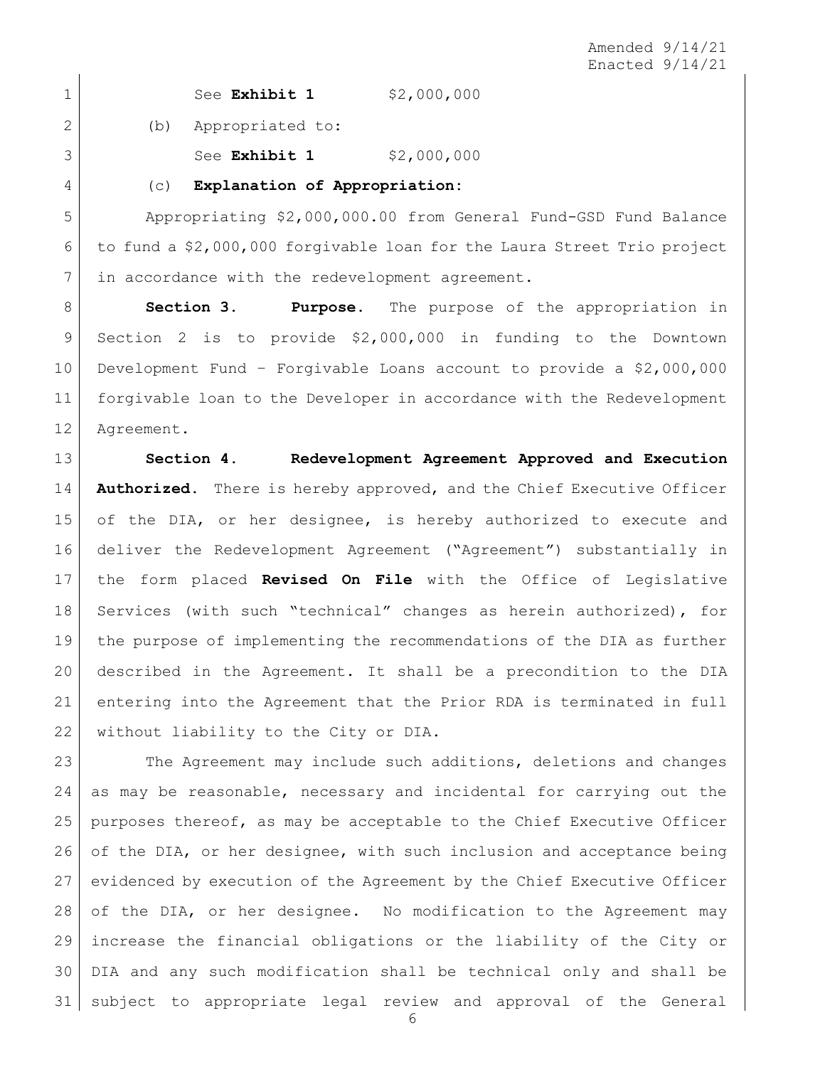1 See **Exhibit 1** \$2,000,000

2 (b) Appropriated to:

See **Exhibit 1** \$2,000,000

(c) **Explanation of Appropriation:**

 Appropriating \$2,000,000.00 from General Fund-GSD Fund Balance to fund a \$2,000,000 forgivable loan for the Laura Street Trio project 7 | in accordance with the redevelopment agreement.

 **Section 3. Purpose.** The purpose of the appropriation in Section 2 is to provide \$2,000,000 in funding to the Downtown Development Fund – Forgivable Loans account to provide a \$2,000,000 forgivable loan to the Developer in accordance with the Redevelopment Agreement.

 **Section 4. Redevelopment Agreement Approved and Execution Authorized.** There is hereby approved, and the Chief Executive Officer of the DIA, or her designee, is hereby authorized to execute and deliver the Redevelopment Agreement ("Agreement") substantially in the form placed **Revised On File** with the Office of Legislative Services (with such "technical" changes as herein authorized), for the purpose of implementing the recommendations of the DIA as further described in the Agreement. It shall be a precondition to the DIA entering into the Agreement that the Prior RDA is terminated in full 22 without liability to the City or DIA.

23 The Agreement may include such additions, deletions and changes as may be reasonable, necessary and incidental for carrying out the purposes thereof, as may be acceptable to the Chief Executive Officer 26 of the DIA, or her designee, with such inclusion and acceptance being evidenced by execution of the Agreement by the Chief Executive Officer 28 of the DIA, or her designee. No modification to the Agreement may increase the financial obligations or the liability of the City or DIA and any such modification shall be technical only and shall be subject to appropriate legal review and approval of the General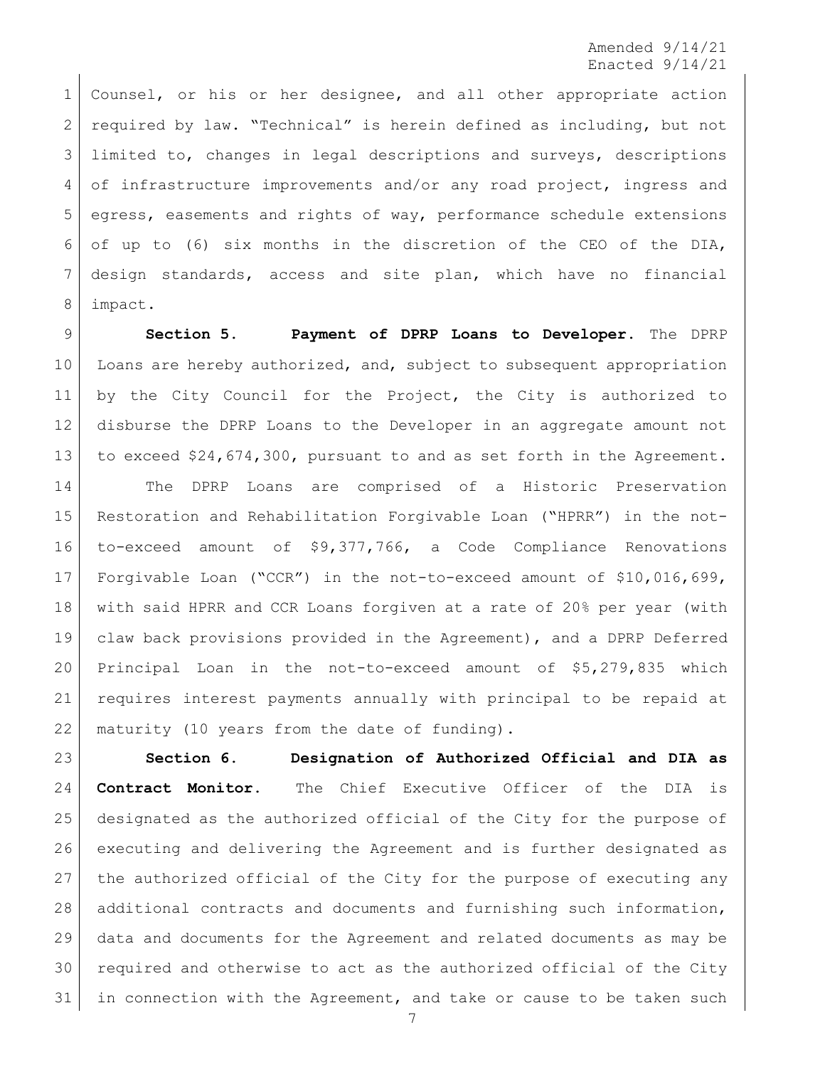Counsel, or his or her designee, and all other appropriate action required by law. "Technical" is herein defined as including, but not 3 limited to, changes in legal descriptions and surveys, descriptions 4 of infrastructure improvements and/or any road project, ingress and egress, easements and rights of way, performance schedule extensions of up to (6) six months in the discretion of the CEO of the DIA, design standards, access and site plan, which have no financial impact.

 **Section 5. Payment of DPRP Loans to Developer.** The DPRP Loans are hereby authorized, and, subject to subsequent appropriation by the City Council for the Project, the City is authorized to disburse the DPRP Loans to the Developer in an aggregate amount not to exceed \$24,674,300, pursuant to and as set forth in the Agreement.

 The DPRP Loans are comprised of a Historic Preservation Restoration and Rehabilitation Forgivable Loan ("HPRR") in the not- to-exceed amount of \$9,377,766, a Code Compliance Renovations Forgivable Loan ("CCR") in the not-to-exceed amount of \$10,016,699, with said HPRR and CCR Loans forgiven at a rate of 20% per year (with claw back provisions provided in the Agreement), and a DPRP Deferred Principal Loan in the not-to-exceed amount of \$5,279,835 which requires interest payments annually with principal to be repaid at 22 | maturity (10 years from the date of funding).

 **Section 6. Designation of Authorized Official and DIA as Contract Monitor.** The Chief Executive Officer of the DIA is designated as the authorized official of the City for the purpose of executing and delivering the Agreement and is further designated as the authorized official of the City for the purpose of executing any additional contracts and documents and furnishing such information, data and documents for the Agreement and related documents as may be required and otherwise to act as the authorized official of the City in connection with the Agreement, and take or cause to be taken such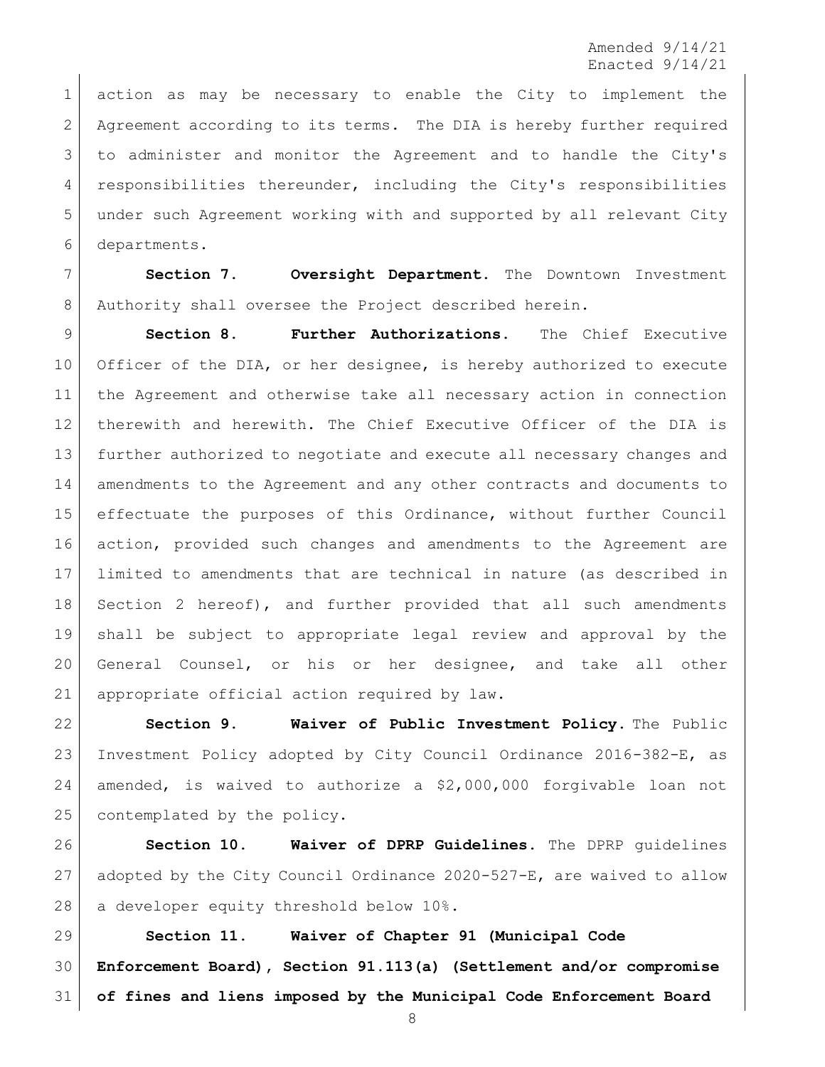action as may be necessary to enable the City to implement the Agreement according to its terms. The DIA is hereby further required to administer and monitor the Agreement and to handle the City's responsibilities thereunder, including the City's responsibilities under such Agreement working with and supported by all relevant City departments.

 **Section 7. Oversight Department.** The Downtown Investment 8 Authority shall oversee the Project described herein.

 **Section 8. Further Authorizations.** The Chief Executive Officer of the DIA, or her designee, is hereby authorized to execute the Agreement and otherwise take all necessary action in connection therewith and herewith. The Chief Executive Officer of the DIA is further authorized to negotiate and execute all necessary changes and amendments to the Agreement and any other contracts and documents to effectuate the purposes of this Ordinance, without further Council action, provided such changes and amendments to the Agreement are limited to amendments that are technical in nature (as described in 18 Section 2 hereof), and further provided that all such amendments shall be subject to appropriate legal review and approval by the General Counsel, or his or her designee, and take all other 21 | appropriate official action required by law.

 **Section 9. Waiver of Public Investment Policy.** The Public Investment Policy adopted by City Council Ordinance 2016-382-E, as amended, is waived to authorize a \$2,000,000 forgivable loan not 25 contemplated by the policy.

 **Section 10. Waiver of DPRP Guidelines.** The DPRP guidelines adopted by the City Council Ordinance 2020-527-E, are waived to allow 28 | a developer equity threshold below 10%.

 **Section 11. Waiver of Chapter 91 (Municipal Code Enforcement Board), Section 91.113(a) (Settlement and/or compromise of fines and liens imposed by the Municipal Code Enforcement Board**